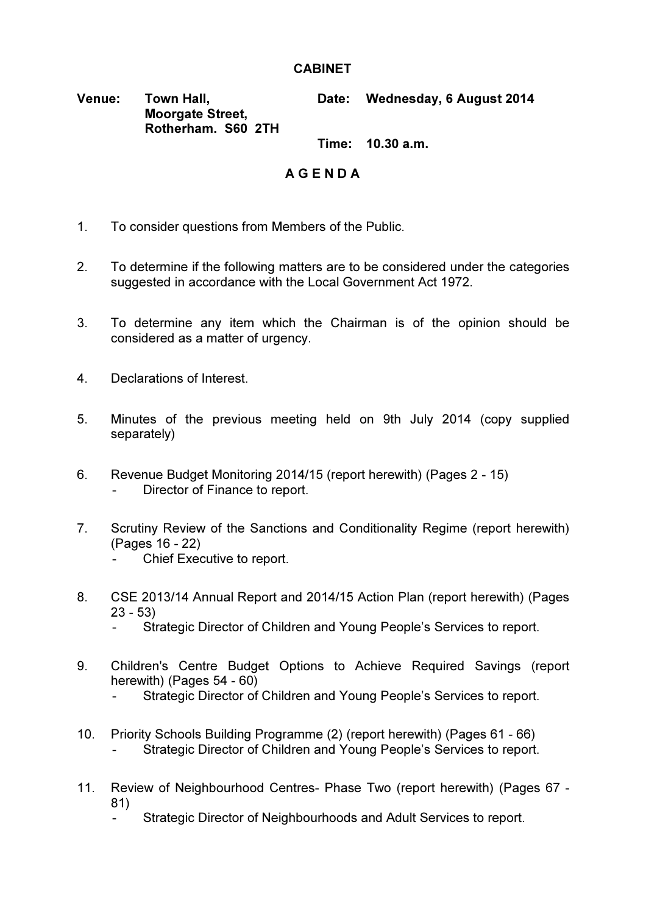## **CABINET**

## Venue: Town Hall, Moorgate Street. Rotherham. S60 2TH Date: Wednesday, 6 August 2014

Time: 10.30 a.m.

## A G E N D A

- 1. To consider questions from Members of the Public.
- 2. To determine if the following matters are to be considered under the categories suggested in accordance with the Local Government Act 1972.
- 3. To determine any item which the Chairman is of the opinion should be considered as a matter of urgency.
- 4. Declarations of Interest.
- 5. Minutes of the previous meeting held on 9th July 2014 (copy supplied separately)
- 6. Revenue Budget Monitoring 2014/15 (report herewith) (Pages 2 15) Director of Finance to report.
- 7. Scrutiny Review of the Sanctions and Conditionality Regime (report herewith) (Pages 16 - 22)
	- Chief Executive to report.
- 8. CSE 2013/14 Annual Report and 2014/15 Action Plan (report herewith) (Pages 23 - 53)
	- Strategic Director of Children and Young People's Services to report.
- 9. Children's Centre Budget Options to Achieve Required Savings (report herewith) (Pages 54 - 60)
	- Strategic Director of Children and Young People's Services to report.
- 10. Priority Schools Building Programme (2) (report herewith) (Pages 61 66) Strategic Director of Children and Young People's Services to report.
- 11. Review of Neighbourhood Centres- Phase Two (report herewith) (Pages 67 81)
	- Strategic Director of Neighbourhoods and Adult Services to report.